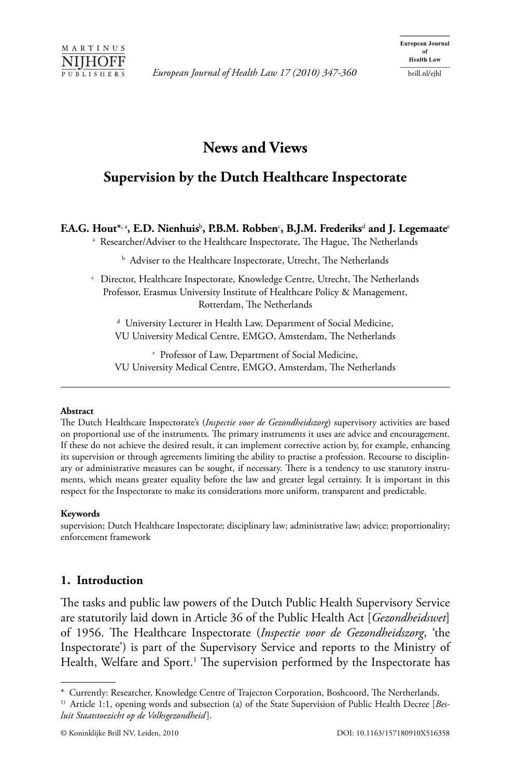

*European Journal of Health Law 17 (2010) 347-360* brill.nl/ejhl

# **News and Views**

# **Supervision by the Dutch Healthcare Inspectorate**

# **F.A.G. Hout\*,** <sup>a</sup> **, E.D. Nienhuis**<sup>b</sup> **, P.B.M. Robben**<sup>c</sup> **, B.J.M. Frederiks**<sup>d</sup>  **and J. Legemaate**<sup>e</sup>

a Researcher/Adviser to the Healthcare Inspectorate, The Hague, The Netherlands

 $^{\rm b}$  Adviser to the Healthcare Inspectorate, Utrecht, The Netherlands

c Director, Healthcare Inspectorate, Knowledge Centre, Utrecht, The Netherlands Professor, Erasmus University Institute of Healthcare Policy & Management, Rotterdam, The Netherlands

d University Lecturer in Health Law, Department of Social Medicine, VU University Medical Centre, EMGO, Amsterdam, The Netherlands

e Professor of Law, Department of Social Medicine, VU University Medical Centre, EMGO, Amsterdam, The Netherlands

#### **Abstract**

The Dutch Healthcare Inspectorate's (*Inspectie voor de Gezondheidszorg*) supervisory activities are based on proportional use of the instruments. The primary instruments it uses are advice and encouragement. If these do not achieve the desired result, it can implement corrective action by, for example, enhancing its supervision or through agreements limiting the ability to practise a profession. Recourse to disciplinary or administrative measures can be sought, if necessary. There is a tendency to use statutory instruments, which means greater equality before the law and greater legal certainty. It is important in this respect for the Inspectorate to make its considerations more uniform, transparent and predictable.

#### **Keywords**

supervision; Dutch Healthcare Inspectorate; disciplinary law; administrative law; advice; proportionality; enforcement framework

### **1. Introduction**

The tasks and public law powers of the Dutch Public Health Supervisory Service are statutorily laid down in Article 36 of the Public Health Act [*Gezondheidswet*] of 1956. The Healthcare Inspectorate (*Inspectie voor de Gezondheidszorg*, 'the Inspectorate') is part of the Supervisory Service and reports to the Ministry of Health, Welfare and Sport.<sup>1</sup> The supervision performed by the Inspectorate has

<sup>\*</sup> Currently: Researcher, Knowledge Centre of Trajecton Corporation, Boshcoord, The Nertherlands.

<sup>&</sup>lt;sup>1)</sup> Article 1:1, opening words and subsection (a) of the State Supervision of Public Health Decree [*Besluit Staatstoezicht op de Volksgezondheid* ].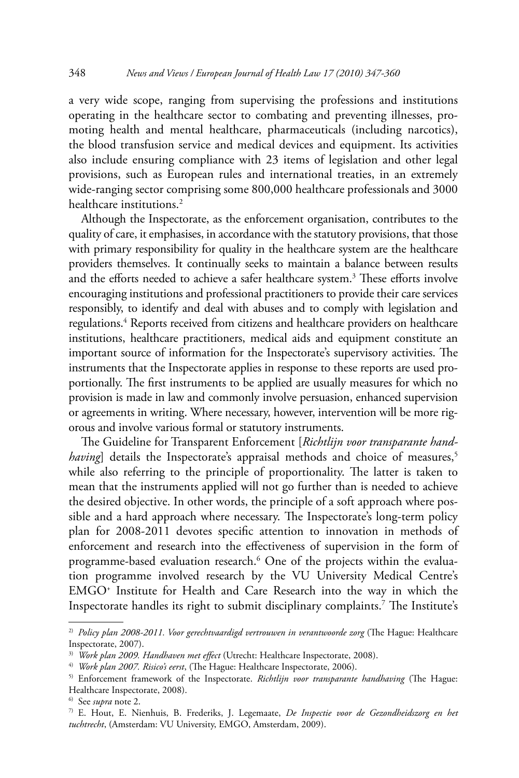a very wide scope, ranging from supervising the professions and institutions operating in the healthcare sector to combating and preventing illnesses, promoting health and mental healthcare, pharmaceuticals (including narcotics), the blood transfusion service and medical devices and equipment. Its activities also include ensuring compliance with 23 items of legislation and other legal provisions, such as European rules and international treaties, in an extremely wide-ranging sector comprising some 800,000 healthcare professionals and 3000 healthcare institutions.<sup>2</sup>

Although the Inspectorate, as the enforcement organisation, contributes to the quality of care, it emphasises, in accordance with the statutory provisions, that those with primary responsibility for quality in the healthcare system are the healthcare providers themselves. It continually seeks to maintain a balance between results and the efforts needed to achieve a safer healthcare system.<sup>3</sup> These efforts involve encouraging institutions and professional practitioners to provide their care services responsibly, to identify and deal with abuses and to comply with legislation and regulations.4 Reports received from citizens and healthcare providers on healthcare institutions, healthcare practitioners, medical aids and equipment constitute an important source of information for the Inspectorate's supervisory activities. The instruments that the Inspectorate applies in response to these reports are used proportionally. The first instruments to be applied are usually measures for which no provision is made in law and commonly involve persuasion, enhanced supervision or agreements in writing. Where necessary, however, intervention will be more rigorous and involve various formal or statutory instruments.

The Guideline for Transparent Enforcement [*Richtlijn voor transparante handhaving*] details the Inspectorate's appraisal methods and choice of measures,<sup>5</sup> while also referring to the principle of proportionality. The latter is taken to mean that the instruments applied will not go further than is needed to achieve the desired objective. In other words, the principle of a soft approach where possible and a hard approach where necessary. The Inspectorate's long-term policy plan for 2008-2011 devotes specific attention to innovation in methods of enforcement and research into the effectiveness of supervision in the form of programme-based evaluation research.6 One of the projects within the evaluation programme involved research by the VU University Medical Centre's EMGO+ Institute for Health and Care Research into the way in which the Inspectorate handles its right to submit disciplinary complaints.7 The Institute's

<sup>2)</sup> *Policy plan 2008-2011. Voor gerechtvaardigd vertrouwen in verantwoorde zorg* (The Hague: Healthcare Inspectorate, 2007).

<sup>3)</sup> *Work plan 2009. Handhaven met effect* (Utrecht: Healthcare Inspectorate, 2008).

<sup>4)</sup> *Work plan 2007. Risico's eerst*, (The Hague: Healthcare Inspectorate, 2006).

<sup>5)</sup> Enforcement framework of the Inspectorate. *Richtlijn voor transparante handhaving* (The Hague: Healthcare Inspectorate, 2008).

<sup>6)</sup> See *supra* note 2.

<sup>7)</sup> E. Hout, E. Nienhuis, B. Frederiks, J. Legemaate, *De Inspectie voor de Gezondheidszorg en het tuchtrecht*, (Amsterdam: VU University, EMGO, Amsterdam, 2009).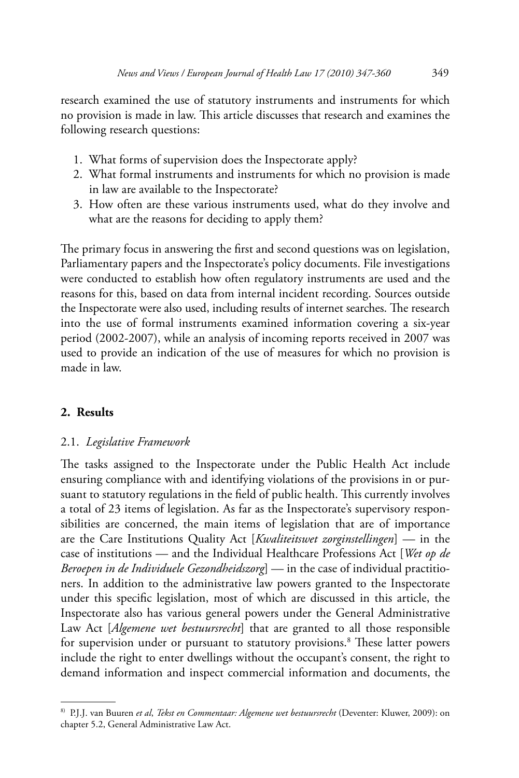research examined the use of statutory instruments and instruments for which no provision is made in law. This article discusses that research and examines the following research questions:

- 1. What forms of supervision does the Inspectorate apply?
- 2. What formal instruments and instruments for which no provision is made in law are available to the Inspectorate?
- 3. How often are these various instruments used, what do they involve and what are the reasons for deciding to apply them?

The primary focus in answering the first and second questions was on legislation, Parliamentary papers and the Inspectorate's policy documents. File investigations were conducted to establish how often regulatory instruments are used and the reasons for this, based on data from internal incident recording. Sources outside the Inspectorate were also used, including results of internet searches. The research into the use of formal instruments examined information covering a six-year period (2002-2007), while an analysis of incoming reports received in 2007 was used to provide an indication of the use of measures for which no provision is made in law.

# **2. Results**

## 2.1. *Legislative Framework*

The tasks assigned to the Inspectorate under the Public Health Act include ensuring compliance with and identifying violations of the provisions in or pursuant to statutory regulations in the field of public health. This currently involves a total of 23 items of legislation. As far as the Inspectorate's supervisory responsibilities are concerned, the main items of legislation that are of importance are the Care Institutions Quality Act [*Kwaliteitswet zorginstellingen*] — in the case of institutions — and the Individual Healthcare Professions Act [*Wet op de Beroepen in de Individuele Gezondheidszorg*] — in the case of individual practitioners. In addition to the administrative law powers granted to the Inspectorate under this specific legislation, most of which are discussed in this article, the Inspectorate also has various general powers under the General Administrative Law Act [*Algemene wet bestuursrecht*] that are granted to all those responsible for supervision under or pursuant to statutory provisions.<sup>8</sup> These latter powers include the right to enter dwellings without the occupant's consent, the right to demand information and inspect commercial information and documents, the

<sup>8)</sup> P.J.J. van Buuren *et al*, *Tekst en Commentaar: Algemene wet bestuursrecht* (Deventer: Kluwer, 2009): on chapter 5.2, General Administrative Law Act.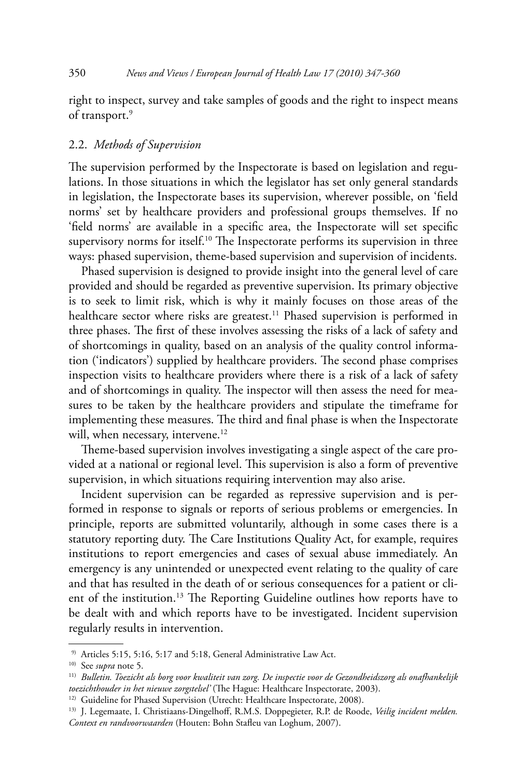right to inspect, survey and take samples of goods and the right to inspect means of transport.<sup>9</sup>

### 2.2. *Methods of Supervision*

The supervision performed by the Inspectorate is based on legislation and regulations. In those situations in which the legislator has set only general standards in legislation, the Inspectorate bases its supervision, wherever possible, on 'field norms' set by healthcare providers and professional groups themselves. If no 'field norms' are available in a specific area, the Inspectorate will set specific supervisory norms for itself.<sup>10</sup> The Inspectorate performs its supervision in three ways: phased supervision, theme-based supervision and supervision of incidents.

Phased supervision is designed to provide insight into the general level of care provided and should be regarded as preventive supervision. Its primary objective is to seek to limit risk, which is why it mainly focuses on those areas of the healthcare sector where risks are greatest.<sup>11</sup> Phased supervision is performed in three phases. The first of these involves assessing the risks of a lack of safety and of shortcomings in quality, based on an analysis of the quality control information ('indicators') supplied by healthcare providers. The second phase comprises inspection visits to healthcare providers where there is a risk of a lack of safety and of shortcomings in quality. The inspector will then assess the need for measures to be taken by the healthcare providers and stipulate the timeframe for implementing these measures. The third and final phase is when the Inspectorate will, when necessary, intervene.<sup>12</sup>

Theme-based supervision involves investigating a single aspect of the care provided at a national or regional level. This supervision is also a form of preventive supervision, in which situations requiring intervention may also arise.

Incident supervision can be regarded as repressive supervision and is performed in response to signals or reports of serious problems or emergencies. In principle, reports are submitted voluntarily, although in some cases there is a statutory reporting duty. The Care Institutions Quality Act, for example, requires institutions to report emergencies and cases of sexual abuse immediately. An emergency is any unintended or unexpected event relating to the quality of care and that has resulted in the death of or serious consequences for a patient or client of the institution.<sup>13</sup> The Reporting Guideline outlines how reports have to be dealt with and which reports have to be investigated. Incident supervision regularly results in intervention.

 <sup>9)</sup> Articles 5:15, 5:16, 5:17 and 5:18, General Administrative Law Act.

<sup>10)</sup> See *supra* note 5.

<sup>11)</sup> *Bulletin. Toezicht als borg voor kwaliteit van zorg. De inspectie voor de Gezondheidszorg als onafhankelijk toezichthouder in het nieuwe zorgstelsel'* (The Hague: Healthcare Inspectorate, 2003).

<sup>&</sup>lt;sup>12)</sup> Guideline for Phased Supervision (Utrecht: Healthcare Inspectorate, 2008).

<sup>13)</sup> J. Legemaate, I. Christiaans-Dingelhoff, R.M.S. Doppegieter, R.P. de Roode, *Veilig incident melden. Context en randvoorwaarden* (Houten: Bohn Stafleu van Loghum, 2007).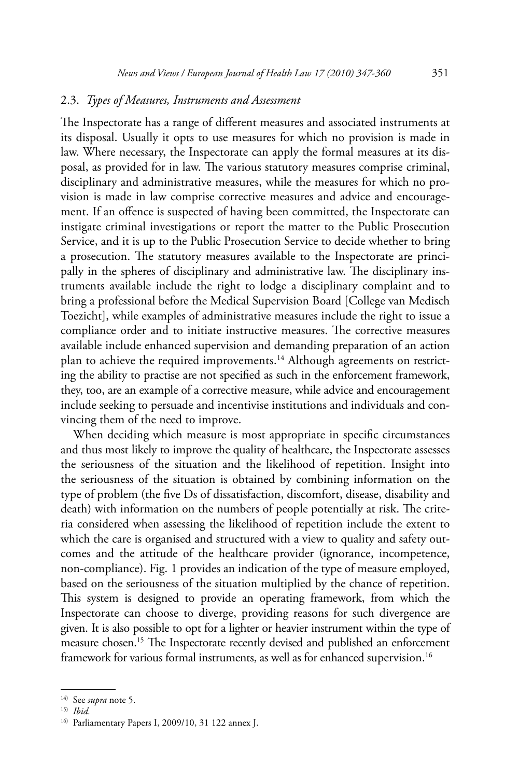#### 2.3. *Types of Measures, Instruments and Assessment*

The Inspectorate has a range of different measures and associated instruments at its disposal. Usually it opts to use measures for which no provision is made in law. Where necessary, the Inspectorate can apply the formal measures at its disposal, as provided for in law. The various statutory measures comprise criminal, disciplinary and administrative measures, while the measures for which no provision is made in law comprise corrective measures and advice and encouragement. If an offence is suspected of having been committed, the Inspectorate can instigate criminal investigations or report the matter to the Public Prosecution Service, and it is up to the Public Prosecution Service to decide whether to bring a prosecution. The statutory measures available to the Inspectorate are principally in the spheres of disciplinary and administrative law. The disciplinary instruments available include the right to lodge a disciplinary complaint and to bring a professional before the Medical Supervision Board [College van Medisch Toezicht], while examples of administrative measures include the right to issue a compliance order and to initiate instructive measures. The corrective measures available include enhanced supervision and demanding preparation of an action plan to achieve the required improvements.14 Although agreements on restricting the ability to practise are not specified as such in the enforcement framework, they, too, are an example of a corrective measure, while advice and encouragement include seeking to persuade and incentivise institutions and individuals and convincing them of the need to improve.

When deciding which measure is most appropriate in specific circumstances and thus most likely to improve the quality of healthcare, the Inspectorate assesses the seriousness of the situation and the likelihood of repetition. Insight into the seriousness of the situation is obtained by combining information on the type of problem (the five Ds of dissatisfaction, discomfort, disease, disability and death) with information on the numbers of people potentially at risk. The criteria considered when assessing the likelihood of repetition include the extent to which the care is organised and structured with a view to quality and safety outcomes and the attitude of the healthcare provider (ignorance, incompetence, non-compliance). Fig. 1 provides an indication of the type of measure employed, based on the seriousness of the situation multiplied by the chance of repetition. This system is designed to provide an operating framework, from which the Inspectorate can choose to diverge, providing reasons for such divergence are given. It is also possible to opt for a lighter or heavier instrument within the type of measure chosen.15 The Inspectorate recently devised and published an enforcement framework for various formal instruments, as well as for enhanced supervision.<sup>16</sup>

<sup>14)</sup> See *supra* note 5.

<sup>15)</sup> *Ibid.*

<sup>16)</sup> Parliamentary Papers I, 2009/10, 31 122 annex J.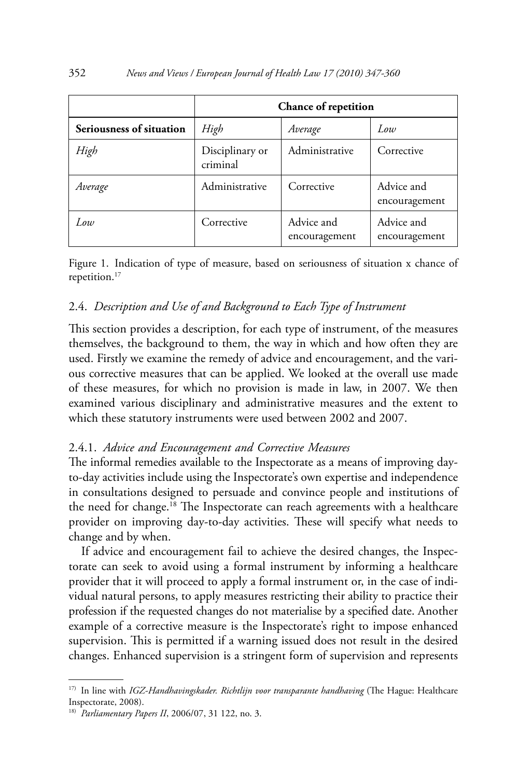|                          | Chance of repetition        |                             |                             |
|--------------------------|-----------------------------|-----------------------------|-----------------------------|
| Seriousness of situation | High                        | Average                     | Low                         |
| High                     | Disciplinary or<br>criminal | Administrative              | Corrective                  |
| Average                  | Administrative              | Corrective                  | Advice and<br>encouragement |
| Low                      | Corrective                  | Advice and<br>encouragement | Advice and<br>encouragement |

Figure 1. Indication of type of measure, based on seriousness of situation x chance of repetition.17

# 2.4. *Description and Use of and Background to Each Type of Instrument*

This section provides a description, for each type of instrument, of the measures themselves, the background to them, the way in which and how often they are used. Firstly we examine the remedy of advice and encouragement, and the various corrective measures that can be applied. We looked at the overall use made of these measures, for which no provision is made in law, in 2007. We then examined various disciplinary and administrative measures and the extent to which these statutory instruments were used between 2002 and 2007.

## 2.4.1. *Advice and Encouragement and Corrective Measures*

The informal remedies available to the Inspectorate as a means of improving dayto-day activities include using the Inspectorate's own expertise and independence in consultations designed to persuade and convince people and institutions of the need for change.<sup>18</sup> The Inspectorate can reach agreements with a healthcare provider on improving day-to-day activities. These will specify what needs to change and by when.

If advice and encouragement fail to achieve the desired changes, the Inspectorate can seek to avoid using a formal instrument by informing a healthcare provider that it will proceed to apply a formal instrument or, in the case of individual natural persons, to apply measures restricting their ability to practice their profession if the requested changes do not materialise by a specified date. Another example of a corrective measure is the Inspectorate's right to impose enhanced supervision. This is permitted if a warning issued does not result in the desired changes. Enhanced supervision is a stringent form of supervision and represents

<sup>17)</sup> In line with *IGZ-Handhavingskader. Richtlijn voor transparante handhaving* (The Hague: Healthcare Inspectorate, 2008).

<sup>18)</sup> *Parliamentary Papers II*, 2006/07, 31 122, no. 3.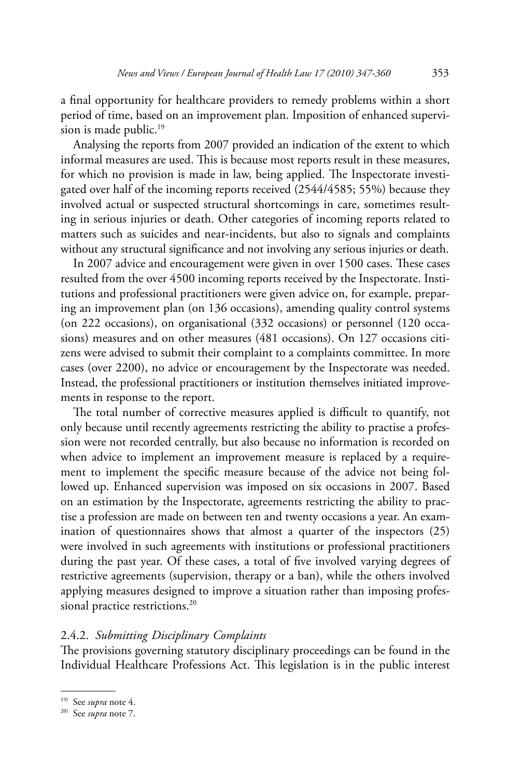a final opportunity for healthcare providers to remedy problems within a short period of time, based on an improvement plan. Imposition of enhanced supervision is made public. $19$ 

Analysing the reports from 2007 provided an indication of the extent to which informal measures are used. This is because most reports result in these measures, for which no provision is made in law, being applied. The Inspectorate investigated over half of the incoming reports received (2544/4585; 55%) because they involved actual or suspected structural shortcomings in care, sometimes resulting in serious injuries or death. Other categories of incoming reports related to matters such as suicides and near-incidents, but also to signals and complaints without any structural significance and not involving any serious injuries or death.

In 2007 advice and encouragement were given in over 1500 cases. These cases resulted from the over 4500 incoming reports received by the Inspectorate. Institutions and professional practitioners were given advice on, for example, preparing an improvement plan (on 136 occasions), amending quality control systems (on 222 occasions), on organisational (332 occasions) or personnel (120 occasions) measures and on other measures (481 occasions). On 127 occasions citizens were advised to submit their complaint to a complaints committee. In more cases (over 2200), no advice or encouragement by the Inspectorate was needed. Instead, the professional practitioners or institution themselves initiated improvements in response to the report.

The total number of corrective measures applied is difficult to quantify, not only because until recently agreements restricting the ability to practise a profession were not recorded centrally, but also because no information is recorded on when advice to implement an improvement measure is replaced by a requirement to implement the specific measure because of the advice not being followed up. Enhanced supervision was imposed on six occasions in 2007. Based on an estimation by the Inspectorate, agreements restricting the ability to practise a profession are made on between ten and twenty occasions a year. An examination of questionnaires shows that almost a quarter of the inspectors (25) were involved in such agreements with institutions or professional practitioners during the past year. Of these cases, a total of five involved varying degrees of restrictive agreements (supervision, therapy or a ban), while the others involved applying measures designed to improve a situation rather than imposing professional practice restrictions.<sup>20</sup>

### 2.4.2. *Submitting Disciplinary Complaints*

The provisions governing statutory disciplinary proceedings can be found in the Individual Healthcare Professions Act. This legislation is in the public interest

<sup>19)</sup> See *supra* note 4.

<sup>20)</sup> See *supra* note 7.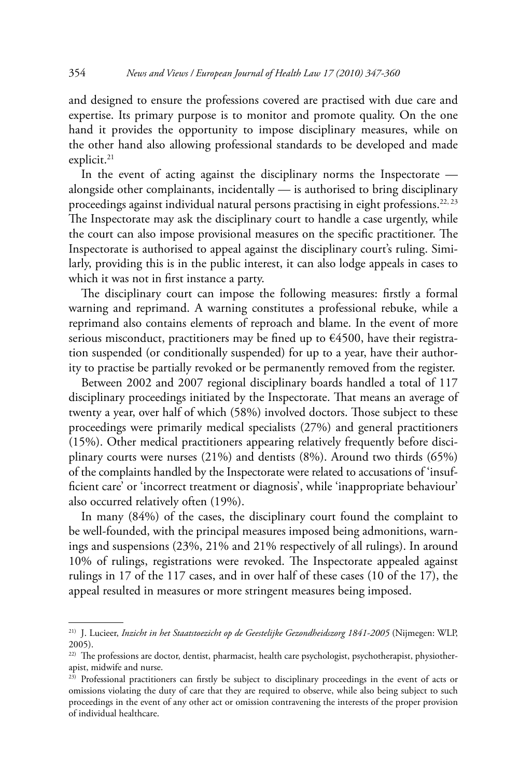and designed to ensure the professions covered are practised with due care and expertise. Its primary purpose is to monitor and promote quality. On the one hand it provides the opportunity to impose disciplinary measures, while on the other hand also allowing professional standards to be developed and made explicit.<sup>21</sup>

In the event of acting against the disciplinary norms the Inspectorate alongside other complainants, incidentally — is authorised to bring disciplinary proceedings against individual natural persons practising in eight professions.<sup>22, 23</sup> The Inspectorate may ask the disciplinary court to handle a case urgently, while the court can also impose provisional measures on the specific practitioner. The Inspectorate is authorised to appeal against the disciplinary court's ruling. Similarly, providing this is in the public interest, it can also lodge appeals in cases to which it was not in first instance a party.

The disciplinary court can impose the following measures: firstly a formal warning and reprimand. A warning constitutes a professional rebuke, while a reprimand also contains elements of reproach and blame. In the event of more serious misconduct, practitioners may be fined up to  $\epsilon$ 4500, have their registration suspended (or conditionally suspended) for up to a year, have their authority to practise be partially revoked or be permanently removed from the register.

Between 2002 and 2007 regional disciplinary boards handled a total of 117 disciplinary proceedings initiated by the Inspectorate. That means an average of twenty a year, over half of which (58%) involved doctors. Those subject to these proceedings were primarily medical specialists (27%) and general practitioners (15%). Other medical practitioners appearing relatively frequently before disciplinary courts were nurses (21%) and dentists (8%). Around two thirds (65%) of the complaints handled by the Inspectorate were related to accusations of 'insufficient care' or 'incorrect treatment or diagnosis', while 'inappropriate behaviour' also occurred relatively often (19%).

In many (84%) of the cases, the disciplinary court found the complaint to be well-founded, with the principal measures imposed being admonitions, warnings and suspensions (23%, 21% and 21% respectively of all rulings). In around 10% of rulings, registrations were revoked. The Inspectorate appealed against rulings in 17 of the 117 cases, and in over half of these cases (10 of the 17), the appeal resulted in measures or more stringent measures being imposed.

<sup>&</sup>lt;sup>21)</sup> J. Lucieer, *Inzicht in het Staatstoezicht op de Geestelijke Gezondheidszorg 1841-2005* (Nijmegen: WLP, 2005).

<sup>&</sup>lt;sup>22)</sup> The professions are doctor, dentist, pharmacist, health care psychologist, psychotherapist, physiotherapist, midwife and nurse.

<sup>&</sup>lt;sup>23)</sup> Professional practitioners can firstly be subject to disciplinary proceedings in the event of acts or omissions violating the duty of care that they are required to observe, while also being subject to such proceedings in the event of any other act or omission contravening the interests of the proper provision of individual healthcare.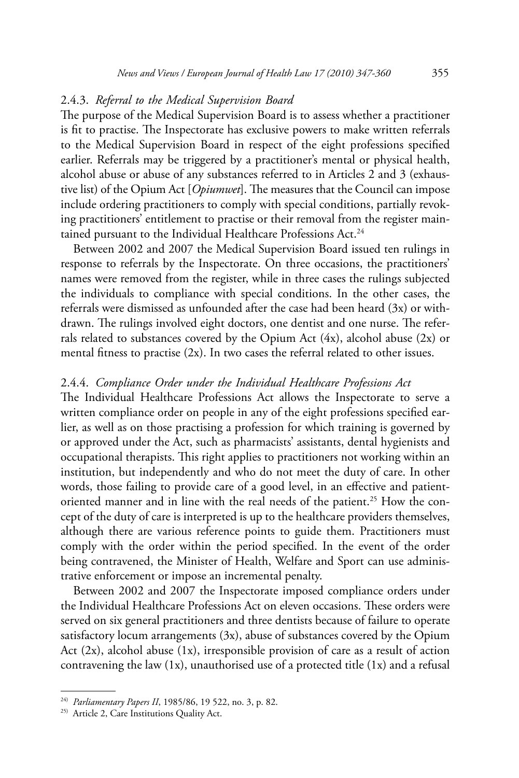#### 2.4.3. *Referral to the Medical Supervision Board*

The purpose of the Medical Supervision Board is to assess whether a practitioner is fit to practise. The Inspectorate has exclusive powers to make written referrals to the Medical Supervision Board in respect of the eight professions specified earlier. Referrals may be triggered by a practitioner's mental or physical health, alcohol abuse or abuse of any substances referred to in Articles 2 and 3 (exhaustive list) of the Opium Act [*Opiumwet*]. The measures that the Council can impose include ordering practitioners to comply with special conditions, partially revoking practitioners' entitlement to practise or their removal from the register maintained pursuant to the Individual Healthcare Professions Act.<sup>24</sup>

Between 2002 and 2007 the Medical Supervision Board issued ten rulings in response to referrals by the Inspectorate. On three occasions, the practitioners' names were removed from the register, while in three cases the rulings subjected the individuals to compliance with special conditions. In the other cases, the referrals were dismissed as unfounded after the case had been heard (3x) or withdrawn. The rulings involved eight doctors, one dentist and one nurse. The referrals related to substances covered by the Opium Act  $(4x)$ , alcohol abuse  $(2x)$  or mental fitness to practise  $(2x)$ . In two cases the referral related to other issues.

#### 2.4.4. *Compliance Order under the Individual Healthcare Professions Act*

The Individual Healthcare Professions Act allows the Inspectorate to serve a written compliance order on people in any of the eight professions specified earlier, as well as on those practising a profession for which training is governed by or approved under the Act, such as pharmacists' assistants, dental hygienists and occupational therapists. This right applies to practitioners not working within an institution, but independently and who do not meet the duty of care. In other words, those failing to provide care of a good level, in an effective and patientoriented manner and in line with the real needs of the patient.<sup>25</sup> How the concept of the duty of care is interpreted is up to the healthcare providers themselves, although there are various reference points to guide them. Practitioners must comply with the order within the period specified. In the event of the order being contravened, the Minister of Health, Welfare and Sport can use administrative enforcement or impose an incremental penalty.

Between 2002 and 2007 the Inspectorate imposed compliance orders under the Individual Healthcare Professions Act on eleven occasions. These orders were served on six general practitioners and three dentists because of failure to operate satisfactory locum arrangements (3x), abuse of substances covered by the Opium Act (2x), alcohol abuse (1x), irresponsible provision of care as a result of action contravening the law (1x), unauthorised use of a protected title (1x) and a refusal

<sup>24)</sup> *Parliamentary Papers II*, 1985/86, 19 522, no. 3, p. 82.

<sup>25)</sup> Article 2, Care Institutions Quality Act.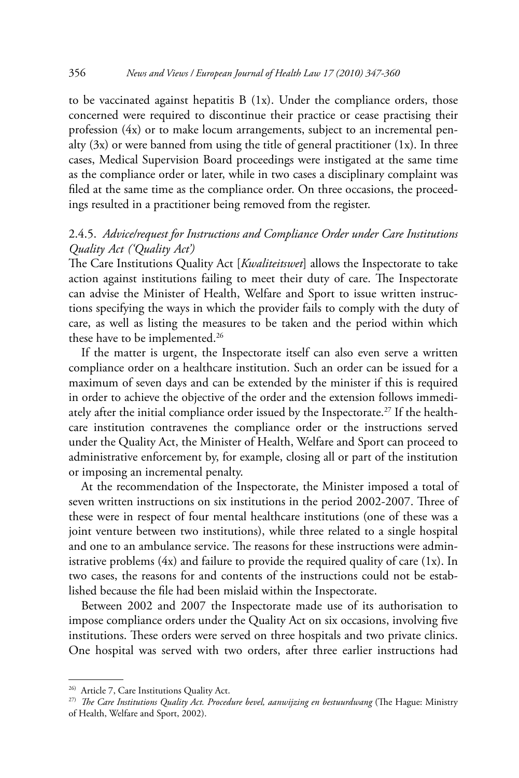to be vaccinated against hepatitis B (1x). Under the compliance orders, those concerned were required to discontinue their practice or cease practising their profession (4x) or to make locum arrangements, subject to an incremental penalty  $(3x)$  or were banned from using the title of general practitioner  $(1x)$ . In three cases, Medical Supervision Board proceedings were instigated at the same time as the compliance order or later, while in two cases a disciplinary complaint was filed at the same time as the compliance order. On three occasions, the proceedings resulted in a practitioner being removed from the register.

## 2.4.5. *Advice/request for Instructions and Compliance Order under Care Institutions Quality Act ('Quality Act')*

The Care Institutions Quality Act [*Kwaliteitswet*] allows the Inspectorate to take action against institutions failing to meet their duty of care. The Inspectorate can advise the Minister of Health, Welfare and Sport to issue written instructions specifying the ways in which the provider fails to comply with the duty of care, as well as listing the measures to be taken and the period within which these have to be implemented.<sup>26</sup>

If the matter is urgent, the Inspectorate itself can also even serve a written compliance order on a healthcare institution. Such an order can be issued for a maximum of seven days and can be extended by the minister if this is required in order to achieve the objective of the order and the extension follows immediately after the initial compliance order issued by the Inspectorate.<sup>27</sup> If the healthcare institution contravenes the compliance order or the instructions served under the Quality Act, the Minister of Health, Welfare and Sport can proceed to administrative enforcement by, for example, closing all or part of the institution or imposing an incremental penalty.

At the recommendation of the Inspectorate, the Minister imposed a total of seven written instructions on six institutions in the period 2002-2007. Three of these were in respect of four mental healthcare institutions (one of these was a joint venture between two institutions), while three related to a single hospital and one to an ambulance service. The reasons for these instructions were administrative problems (4x) and failure to provide the required quality of care (1x). In two cases, the reasons for and contents of the instructions could not be established because the file had been mislaid within the Inspectorate.

Between 2002 and 2007 the Inspectorate made use of its authorisation to impose compliance orders under the Quality Act on six occasions, involving five institutions. These orders were served on three hospitals and two private clinics. One hospital was served with two orders, after three earlier instructions had

<sup>26)</sup> Article 7, Care Institutions Quality Act.

<sup>27)</sup> *The Care Institutions Quality Act. Procedure bevel, aanwijzing en bestuurdwang* (The Hague: Ministry of Health, Welfare and Sport, 2002).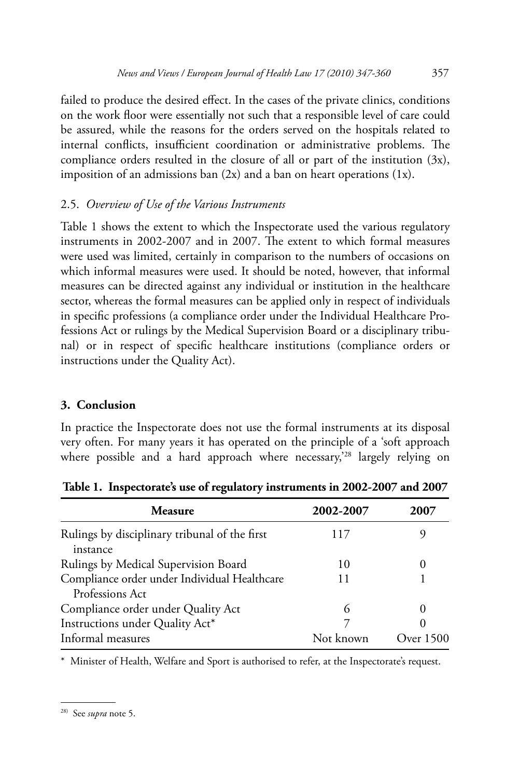failed to produce the desired effect. In the cases of the private clinics, conditions on the work floor were essentially not such that a responsible level of care could be assured, while the reasons for the orders served on the hospitals related to internal conflicts, insufficient coordination or administrative problems. The compliance orders resulted in the closure of all or part of the institution  $(3x)$ , imposition of an admissions ban  $(2x)$  and a ban on heart operations  $(1x)$ .

# 2.5. *Overview of Use of the Various Instruments*

Table 1 shows the extent to which the Inspectorate used the various regulatory instruments in 2002-2007 and in 2007. The extent to which formal measures were used was limited, certainly in comparison to the numbers of occasions on which informal measures were used. It should be noted, however, that informal measures can be directed against any individual or institution in the healthcare sector, whereas the formal measures can be applied only in respect of individuals in specific professions (a compliance order under the Individual Healthcare Professions Act or rulings by the Medical Supervision Board or a disciplinary tribunal) or in respect of specific healthcare institutions (compliance orders or instructions under the Quality Act).

## **3. Conclusion**

In practice the Inspectorate does not use the formal instruments at its disposal very often. For many years it has operated on the principle of a 'soft approach where possible and a hard approach where necessary,<sup>28</sup> largely relying on

| <b>Measure</b>                                                  | 2002-2007 | 2007             |
|-----------------------------------------------------------------|-----------|------------------|
| Rulings by disciplinary tribunal of the first<br>instance       | 117       |                  |
| Rulings by Medical Supervision Board                            | 10        |                  |
| Compliance order under Individual Healthcare<br>Professions Act | 11        |                  |
| Compliance order under Quality Act                              | 6         |                  |
| Instructions under Quality Act*<br>Informal measures            | Not known | <b>Over 1500</b> |

**Table 1. Inspectorate's use of regulatory instruments in 2002-2007 and 2007**

\* Minister of Health, Welfare and Sport is authorised to refer, at the Inspectorate's request.

<sup>28)</sup> See *supra* note 5.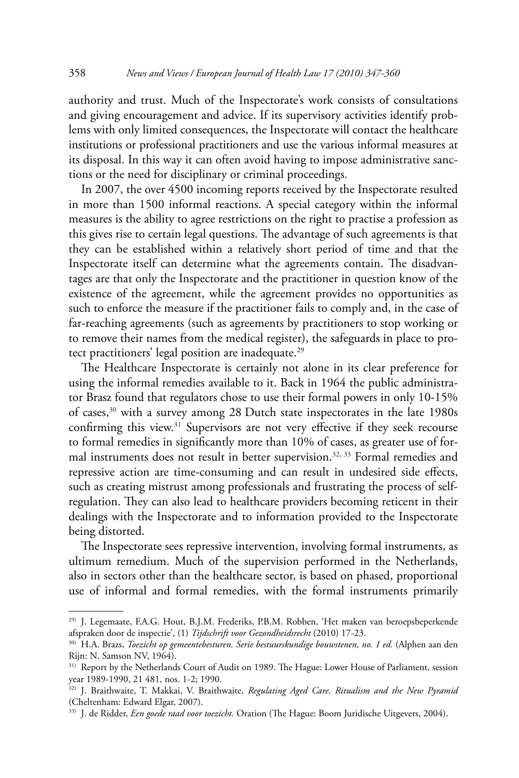authority and trust. Much of the Inspectorate's work consists of consultations and giving encouragement and advice. If its supervisory activities identify problems with only limited consequences, the Inspectorate will contact the healthcare institutions or professional practitioners and use the various informal measures at its disposal. In this way it can often avoid having to impose administrative sanctions or the need for disciplinary or criminal proceedings.

In 2007, the over 4500 incoming reports received by the Inspectorate resulted in more than 1500 informal reactions. A special category within the informal measures is the ability to agree restrictions on the right to practise a profession as this gives rise to certain legal questions. The advantage of such agreements is that they can be established within a relatively short period of time and that the Inspectorate itself can determine what the agreements contain. The disadvantages are that only the Inspectorate and the practitioner in question know of the existence of the agreement, while the agreement provides no opportunities as such to enforce the measure if the practitioner fails to comply and, in the case of far-reaching agreements (such as agreements by practitioners to stop working or to remove their names from the medical register), the safeguards in place to protect practitioners' legal position are inadequate.<sup>29</sup>

The Healthcare Inspectorate is certainly not alone in its clear preference for using the informal remedies available to it. Back in 1964 the public administrator Brasz found that regulators chose to use their formal powers in only 10-15% of cases,<sup>30</sup> with a survey among 28 Dutch state inspectorates in the late 1980s confirming this view.<sup>31</sup> Supervisors are not very effective if they seek recourse to formal remedies in significantly more than 10% of cases, as greater use of formal instruments does not result in better supervision.<sup>32, 33</sup> Formal remedies and repressive action are time-consuming and can result in undesired side effects, such as creating mistrust among professionals and frustrating the process of selfregulation. They can also lead to healthcare providers becoming reticent in their dealings with the Inspectorate and to information provided to the Inspectorate being distorted.

The Inspectorate sees repressive intervention, involving formal instruments, as ultimum remedium. Much of the supervision performed in the Netherlands, also in sectors other than the healthcare sector, is based on phased, proportional use of informal and formal remedies, with the formal instruments primarily

<sup>29)</sup> J. Legemaate, F.A.G. Hout, B.J.M. Frederiks, P.B.M. Robben, 'Het maken van beroepsbeperkende afspraken door de inspectie', (1) *Tijdschrift voor Gezondheidsrecht* (2010) 17-23.

<sup>30)</sup> H.A. Brazs, *Toezicht op gemeentebesturen. Serie bestuurskundige bouwstenen, no. 1 ed.* (Alphen aan den Rijn: N. Samson NV, 1964).

<sup>&</sup>lt;sup>31)</sup> Report by the Netherlands Court of Audit on 1989. The Hague: Lower House of Parliament, session year 1989-1990, 21 481, nos. 1-2; 1990.

<sup>32)</sup> J. Braithwaite, T. Makkai, V. Braithwaite, *Regulating Aged Care. Ritualism and the New Pyramid* (Cheltenham: Edward Elgar, 2007).

<sup>33)</sup> J. de Ridder, *Een goede raad voor toezicht.* Oration (The Hague: Boom Juridische Uitgevers, 2004).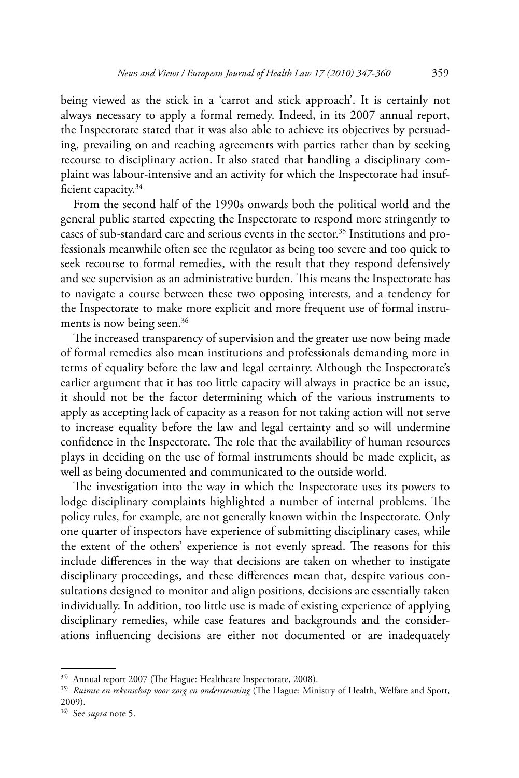being viewed as the stick in a 'carrot and stick approach'. It is certainly not always necessary to apply a formal remedy. Indeed, in its 2007 annual report, the Inspectorate stated that it was also able to achieve its objectives by persuading, prevailing on and reaching agreements with parties rather than by seeking recourse to disciplinary action. It also stated that handling a disciplinary complaint was labour-intensive and an activity for which the Inspectorate had insufficient capacity.<sup>34</sup>

From the second half of the 1990s onwards both the political world and the general public started expecting the Inspectorate to respond more stringently to cases of sub-standard care and serious events in the sector.<sup>35</sup> Institutions and professionals meanwhile often see the regulator as being too severe and too quick to seek recourse to formal remedies, with the result that they respond defensively and see supervision as an administrative burden. This means the Inspectorate has to navigate a course between these two opposing interests, and a tendency for the Inspectorate to make more explicit and more frequent use of formal instruments is now being seen.<sup>36</sup>

The increased transparency of supervision and the greater use now being made of formal remedies also mean institutions and professionals demanding more in terms of equality before the law and legal certainty. Although the Inspectorate's earlier argument that it has too little capacity will always in practice be an issue, it should not be the factor determining which of the various instruments to apply as accepting lack of capacity as a reason for not taking action will not serve to increase equality before the law and legal certainty and so will undermine confidence in the Inspectorate. The role that the availability of human resources plays in deciding on the use of formal instruments should be made explicit, as well as being documented and communicated to the outside world.

The investigation into the way in which the Inspectorate uses its powers to lodge disciplinary complaints highlighted a number of internal problems. The policy rules, for example, are not generally known within the Inspectorate. Only one quarter of inspectors have experience of submitting disciplinary cases, while the extent of the others' experience is not evenly spread. The reasons for this include differences in the way that decisions are taken on whether to instigate disciplinary proceedings, and these differences mean that, despite various consultations designed to monitor and align positions, decisions are essentially taken individually. In addition, too little use is made of existing experience of applying disciplinary remedies, while case features and backgrounds and the considerations influencing decisions are either not documented or are inadequately

<sup>34)</sup> Annual report 2007 (The Hague: Healthcare Inspectorate, 2008).

<sup>35)</sup> *Ruimte en rekenschap voor zorg en ondersteuning* (The Hague: Ministry of Health, Welfare and Sport, 2009).

<sup>36)</sup> See *supra* note 5.